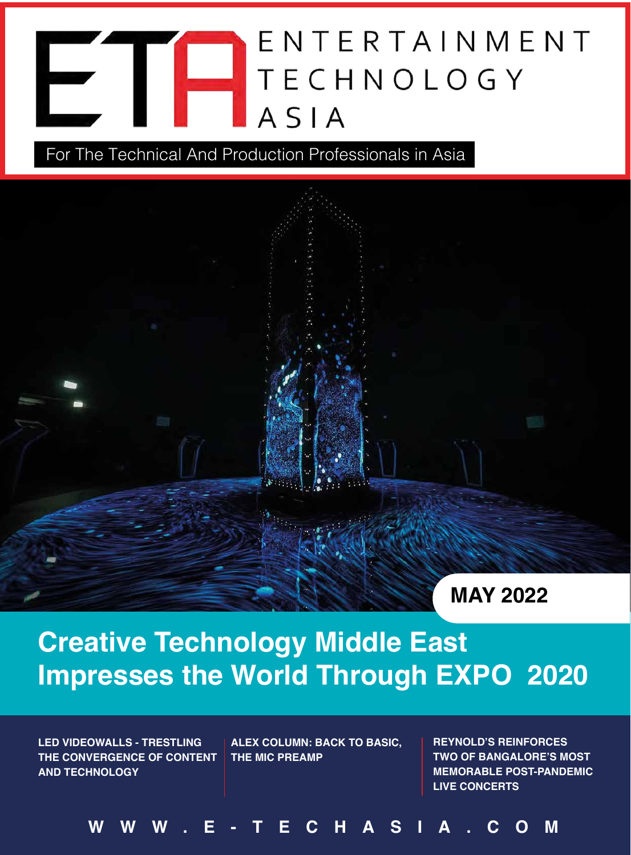# ENTERTAINMENT **TECHNOLOGY** ASIA

For The Technical And Production Professionals in Asia



### **Creative Technology Middle East Impresses the World Through EXPO 2020**

**LED VIDEOWALLS - TRESTLING THE CONVERGENCE OF CONTENT AND TECHNOLOGY**

**ALEX COLUMN: BACK TO BASIC, THE MIC PREAMP**

**REYNOLD'S REINFORCES TWO OF BANGALORE'S MOST MEMORABLE POST-PANDEMIC LIVE CONCERTS**

**WWW.E-TECHASIA.COM**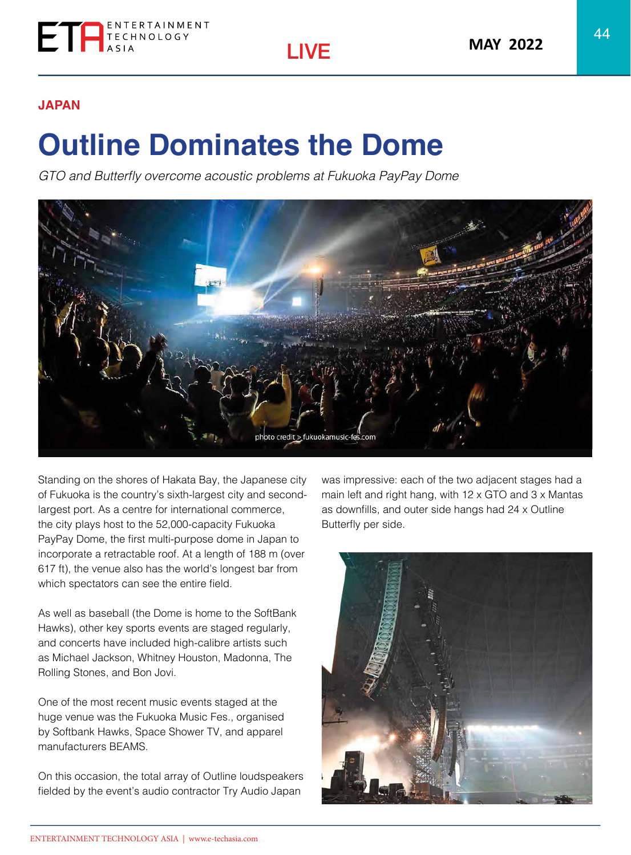

#### **JAPAN**

## **Outline Dominates the Dome**

GTO and Butterfly overcome acoustic problems at Fukuoka PayPay Dome



Standing on the shores of Hakata Bay, the Japanese city of Fukuoka is the country's sixth-largest city and secondlargest port. As a centre for international commerce, the city plays host to the 52,000-capacity Fukuoka PayPay Dome, the first multi-purpose dome in Japan to incorporate a retractable roof. At a length of 188 m (over 617 ft), the venue also has the world's longest bar from which spectators can see the entire field.

As well as baseball (the Dome is home to the SoftBank Hawks), other key sports events are staged regularly, and concerts have included high-calibre artists such as Michael Jackson, Whitney Houston, Madonna, The Rolling Stones, and Bon Jovi.

One of the most recent music events staged at the huge venue was the Fukuoka Music Fes., organised by Softbank Hawks, Space Shower TV, and apparel manufacturers BEAMS.

On this occasion, the total array of Outline loudspeakers fielded by the event's audio contractor Try Audio Japan

was impressive: each of the two adjacent stages had a main left and right hang, with 12 x GTO and 3 x Mantas as downfills, and outer side hangs had 24 x Outline Butterfly per side.